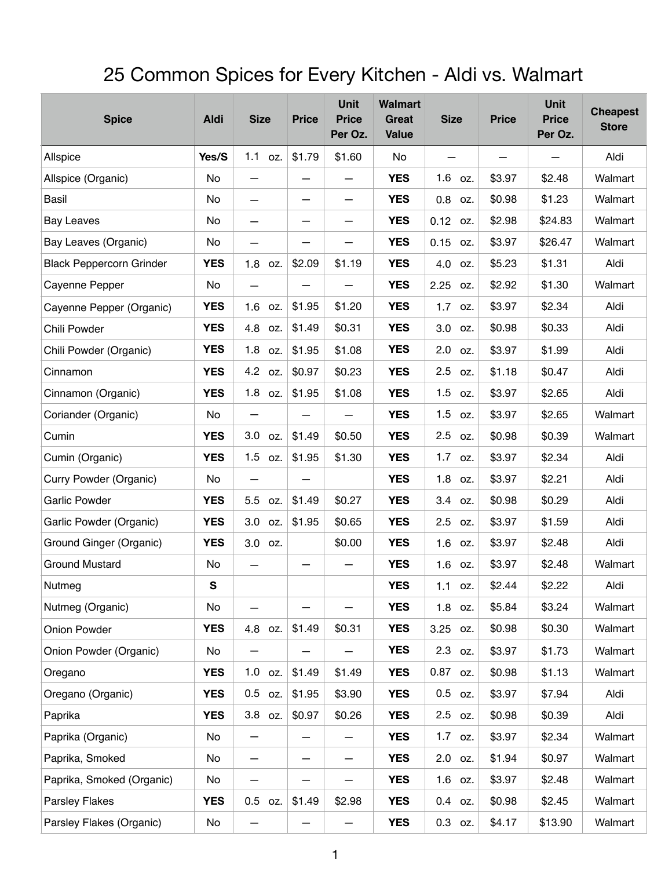## 25 Common Spices for Every Kitchen - Aldi vs. Walmart

| <b>Spice</b>                    | <b>Aldi</b> | <b>Size</b>              | <b>Price</b>                   | <b>Unit</b><br><b>Price</b><br>Per Oz. | <b>Walmart</b><br>Great<br><b>Value</b> | <b>Size</b> | <b>Price</b> | <b>Unit</b><br><b>Price</b><br>Per Oz. | <b>Cheapest</b><br><b>Store</b> |
|---------------------------------|-------------|--------------------------|--------------------------------|----------------------------------------|-----------------------------------------|-------------|--------------|----------------------------------------|---------------------------------|
| Allspice                        | Yes/S       | $1.1$ oz.                | \$1.79                         | \$1.60                                 | No                                      |             |              |                                        | Aldi                            |
| Allspice (Organic)              | No          | —                        | —                              |                                        | <b>YES</b>                              | 1.6<br>OZ.  | \$3.97       | \$2.48                                 | Walmart                         |
| Basil                           | No          |                          | $\qquad \qquad$                | $\overline{\phantom{0}}$               | <b>YES</b>                              | 0.8<br>OZ.  | \$0.98       | \$1.23                                 | Walmart                         |
| <b>Bay Leaves</b>               | No          | $\qquad \qquad$          | —                              | —                                      | <b>YES</b>                              | 0.12<br>OZ. | \$2.98       | \$24.83                                | Walmart                         |
| Bay Leaves (Organic)            | No          |                          |                                |                                        | <b>YES</b>                              | 0.15<br>OZ. | \$3.97       | \$26.47                                | Walmart                         |
| <b>Black Peppercorn Grinder</b> | <b>YES</b>  | 1.8<br>OZ.               | \$2.09                         | \$1.19                                 | <b>YES</b>                              | 4.0<br>OZ.  | \$5.23       | \$1.31                                 | Aldi                            |
| Cayenne Pepper                  | No          | —                        |                                |                                        | <b>YES</b>                              | 2.25<br>OZ. | \$2.92       | \$1.30                                 | Walmart                         |
| Cayenne Pepper (Organic)        | <b>YES</b>  | 1.6<br>OZ.               | \$1.95                         | \$1.20                                 | <b>YES</b>                              | 1.7<br>OZ.  | \$3.97       | \$2.34                                 | Aldi                            |
| Chili Powder                    | <b>YES</b>  | 4.8<br>OZ.               | \$1.49                         | \$0.31                                 | <b>YES</b>                              | 3.0<br>OZ.  | \$0.98       | \$0.33                                 | Aldi                            |
| Chili Powder (Organic)          | <b>YES</b>  | 1.8<br>OZ.               | \$1.95                         | \$1.08                                 | <b>YES</b>                              | 2.0<br>OZ.  | \$3.97       | \$1.99                                 | Aldi                            |
| Cinnamon                        | <b>YES</b>  | 4.2<br>OZ.               | \$0.97                         | \$0.23                                 | <b>YES</b>                              | 2.5<br>OZ.  | \$1.18       | \$0.47                                 | Aldi                            |
| Cinnamon (Organic)              | <b>YES</b>  | 1.8<br>OZ.               | \$1.95                         | \$1.08                                 | <b>YES</b>                              | 1.5<br>OZ.  | \$3.97       | \$2.65                                 | Aldi                            |
| Coriander (Organic)             | No          |                          |                                |                                        | <b>YES</b>                              | 1.5<br>OZ.  | \$3.97       | \$2.65                                 | Walmart                         |
| Cumin                           | <b>YES</b>  | 3.0<br>OZ.               | \$1.49                         | \$0.50                                 | <b>YES</b>                              | 2.5 oz.     | \$0.98       | \$0.39                                 | Walmart                         |
| Cumin (Organic)                 | <b>YES</b>  | 1.5<br>OZ.               | \$1.95                         | \$1.30                                 | <b>YES</b>                              | 1.7<br>OZ.  | \$3.97       | \$2.34                                 | Aldi                            |
| Curry Powder (Organic)          | No          | $\overline{\phantom{0}}$ | —                              |                                        | <b>YES</b>                              | 1.8<br>OZ.  | \$3.97       | \$2.21                                 | Aldi                            |
| <b>Garlic Powder</b>            | <b>YES</b>  | 5.5<br>OZ.               | \$1.49                         | \$0.27                                 | <b>YES</b>                              | 3.4 oz.     | \$0.98       | \$0.29                                 | Aldi                            |
| Garlic Powder (Organic)         | <b>YES</b>  | 3.0<br>OZ.               | \$1.95                         | \$0.65                                 | <b>YES</b>                              | 2.5<br>OZ.  | \$3.97       | \$1.59                                 | Aldi                            |
| Ground Ginger (Organic)         | <b>YES</b>  | 3.0<br>OZ.               |                                | \$0.00                                 | <b>YES</b>                              | 1.6<br>OZ.  | \$3.97       | \$2.48                                 | Aldi                            |
| <b>Ground Mustard</b>           | No          | —                        |                                |                                        | <b>YES</b>                              | 1.6 oz.     | \$3.97       | \$2.48                                 | Walmart                         |
| Nutmeg                          | ${\bf S}$   |                          |                                |                                        | <b>YES</b>                              | $1.1$ oz.   | \$2.44       | \$2.22                                 | Aldi                            |
| Nutmeg (Organic)                | No          |                          |                                |                                        | <b>YES</b>                              | 1.8<br>OZ.  | \$5.84       | \$3.24                                 | Walmart                         |
| Onion Powder                    | <b>YES</b>  | 4.8<br>OZ.               | \$1.49                         | \$0.31                                 | <b>YES</b>                              | 3.25<br>OZ. | \$0.98       | \$0.30                                 | Walmart                         |
| Onion Powder (Organic)          | No          | —                        |                                |                                        | <b>YES</b>                              | 2.3<br>OZ.  | \$3.97       | \$1.73                                 | Walmart                         |
| Oregano                         | <b>YES</b>  | 1.0<br>OZ.               | \$1.49                         | \$1.49                                 | <b>YES</b>                              | 0.87 oz.    | \$0.98       | \$1.13                                 | Walmart                         |
| Oregano (Organic)               | <b>YES</b>  | $0.5\,$<br>OZ.           | \$1.95                         | \$3.90                                 | <b>YES</b>                              | $0.5$ oz.   | \$3.97       | \$7.94                                 | Aldi                            |
| Paprika                         | <b>YES</b>  | 3.8<br>OZ.               | \$0.97                         | \$0.26                                 | <b>YES</b>                              | 2.5<br>OZ.  | \$0.98       | \$0.39                                 | Aldi                            |
| Paprika (Organic)               | No          | —                        |                                |                                        | <b>YES</b>                              | 1.7 oz.     | \$3.97       | \$2.34                                 | Walmart                         |
| Paprika, Smoked                 | No          | —                        | $\qquad \qquad \longleftarrow$ | —                                      | <b>YES</b>                              | 2.0 oz.     | \$1.94       | \$0.97                                 | Walmart                         |
| Paprika, Smoked (Organic)       | No          | —                        |                                | —                                      | <b>YES</b>                              | $1.6$ oz.   | \$3.97       | \$2.48                                 | Walmart                         |
| <b>Parsley Flakes</b>           | <b>YES</b>  | 0.5<br>OZ.               | \$1.49                         | \$2.98                                 | <b>YES</b>                              | 0.4 oz.     | \$0.98       | \$2.45                                 | Walmart                         |
| Parsley Flakes (Organic)        | No          |                          |                                |                                        | <b>YES</b>                              | $0.3$ oz.   | \$4.17       | \$13.90                                | Walmart                         |